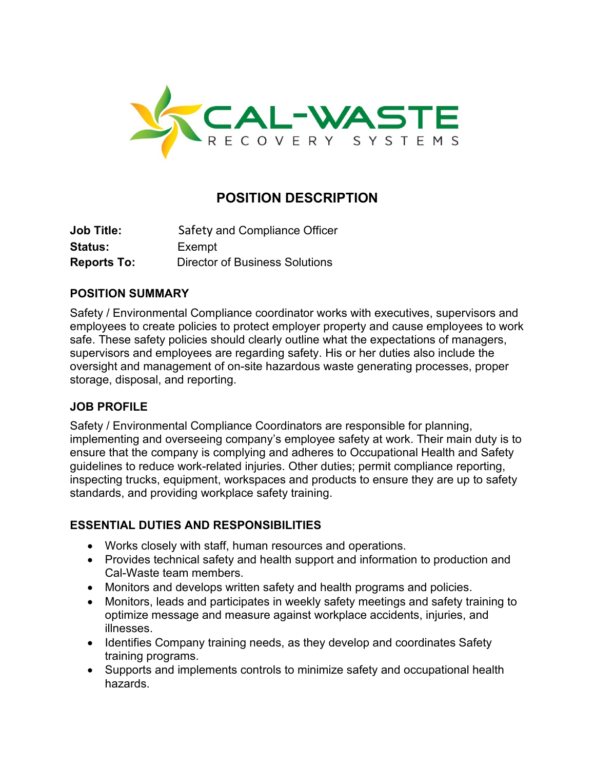

# **POSITION DESCRIPTION**

| Job Title:         | Safety and Compliance Officer         |
|--------------------|---------------------------------------|
| Status:            | Exempt                                |
| <b>Reports To:</b> | <b>Director of Business Solutions</b> |

# **POSITION SUMMARY**

Safety / Environmental Compliance coordinator works with executives, supervisors and employees to create policies to protect employer property and cause employees to work safe. These safety policies should clearly outline what the expectations of managers, supervisors and employees are regarding safety. His or her duties also include the oversight and management of on-site hazardous waste generating processes, proper storage, disposal, and reporting.

# **JOB PROFILE**

Safety / Environmental Compliance Coordinators are responsible for planning, implementing and overseeing company's employee safety at work. Their main duty is to ensure that the company is complying and adheres to Occupational Health and Safety guidelines to reduce work-related injuries. Other duties; permit compliance reporting, inspecting trucks, equipment, workspaces and products to ensure they are up to safety standards, and providing workplace safety training.

#### **ESSENTIAL DUTIES AND RESPONSIBILITIES**

- Works closely with staff, human resources and operations.
- Provides technical safety and health support and information to production and Cal-Waste team members.
- Monitors and develops written safety and health programs and policies.
- Monitors, leads and participates in weekly safety meetings and safety training to optimize message and measure against workplace accidents, injuries, and illnesses.
- Identifies Company training needs, as they develop and coordinates Safety training programs.
- Supports and implements controls to minimize safety and occupational health hazards.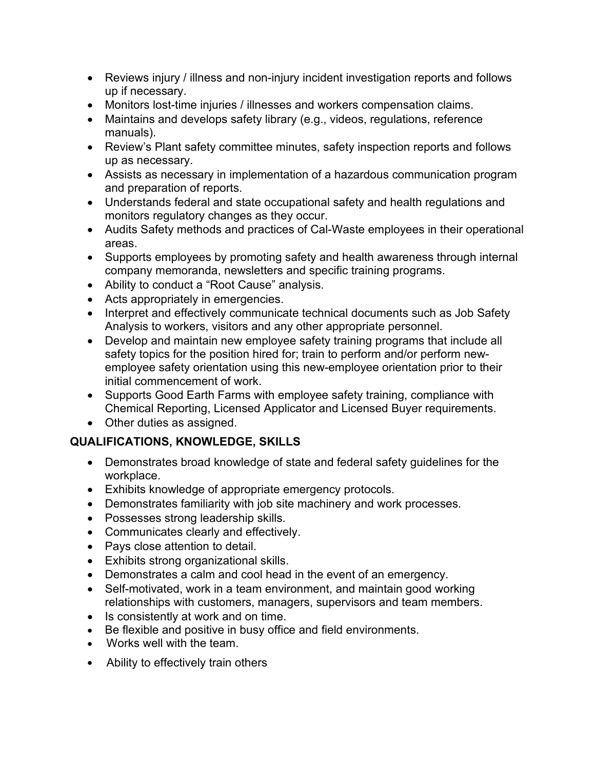- Reviews injury / illness and non-injury incident investigation reports and follows up if necessary.
- Monitors lost-time injuries / illnesses and workers compensation claims.
- Maintains and develops safety library (e.g., videos, regulations, reference manuals).
- Review's Plant safety committee minutes, safety inspection reports and follows up as necessary.
- Assists as necessary in implementation of a hazardous communication program and preparation of reports.
- Understands federal and state occupational safety and health regulations and monitors regulatory changes as they occur.
- Audits Safety methods and practices of Cal-Waste employees in their operational areas.
- Supports employees by promoting safety and health awareness through internal company memoranda, newsletters and specific training programs.
- Ability to conduct a "Root Cause" analysis.
- Acts appropriately in emergencies.
- Interpret and effectively communicate technical documents such as Job Safety Analysis to workers, visitors and any other appropriate personnel.
- Develop and maintain new employee safety training programs that include all safety topics for the position hired for; train to perform and/or perform newemployee safety orientation using this new-employee orientation prior to their initial commencement of work.
- Supports Good Earth Farms with employee safety training, compliance with Chemical Reporting, Licensed Applicator and Licensed Buyer requirements.
- Other duties as assigned.

# **QUALIFICATIONS, KNOWLEDGE, SKILLS**

- Demonstrates broad knowledge of state and federal safety guidelines for the workplace.
- Exhibits knowledge of appropriate emergency protocols.
- Demonstrates familiarity with job site machinery and work processes.
- Possesses strong leadership skills.
- Communicates clearly and effectively.
- Pays close attention to detail.
- Exhibits strong organizational skills.
- Demonstrates a calm and cool head in the event of an emergency.
- Self-motivated, work in a team environment, and maintain good working relationships with customers, managers, supervisors and team members.
- Is consistently at work and on time.
- Be flexible and positive in busy office and field environments.
- Works well with the team.
- Ability to effectively train others